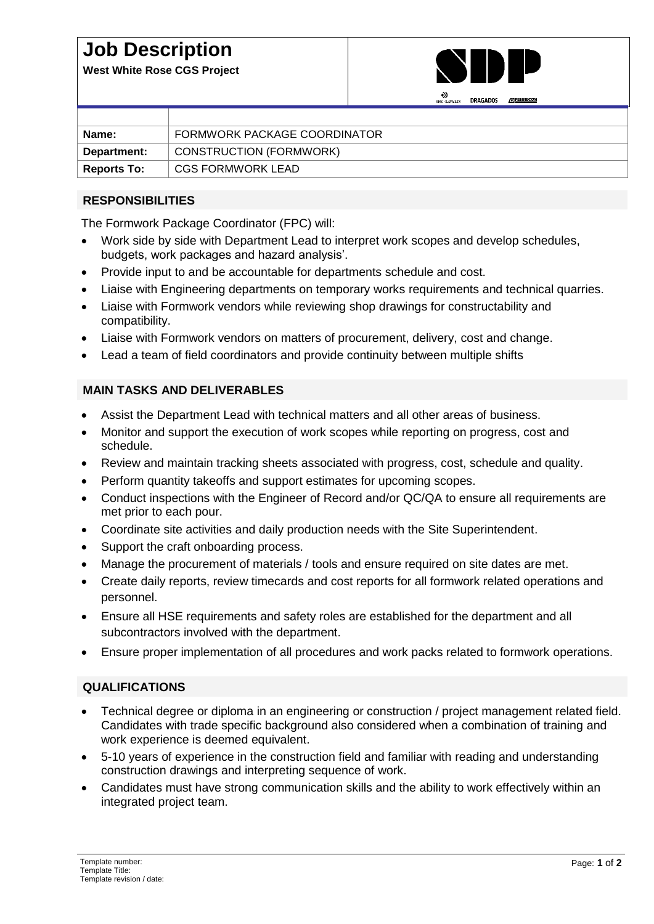## **Job Description**

**West White Rose CGS Project**



|                    | <b>UKAGADUS</b><br><b>APPENNECOM</b><br>SNC-LAVALIN |
|--------------------|-----------------------------------------------------|
|                    |                                                     |
| Name:              | FORMWORK PACKAGE COORDINATOR                        |
| Department:        | CONSTRUCTION (FORMWORK)                             |
| <b>Reports To:</b> | CGS FORMWORK LEAD                                   |

### **RESPONSIBILITIES**

The Formwork Package Coordinator (FPC) will:

- Work side by side with Department Lead to interpret work scopes and develop schedules, budgets, work packages and hazard analysis'.
- Provide input to and be accountable for departments schedule and cost.
- Liaise with Engineering departments on temporary works requirements and technical quarries.
- Liaise with Formwork vendors while reviewing shop drawings for constructability and compatibility.
- Liaise with Formwork vendors on matters of procurement, delivery, cost and change.
- Lead a team of field coordinators and provide continuity between multiple shifts

#### **MAIN TASKS AND DELIVERABLES**

- Assist the Department Lead with technical matters and all other areas of business.
- Monitor and support the execution of work scopes while reporting on progress, cost and schedule.
- Review and maintain tracking sheets associated with progress, cost, schedule and quality.
- Perform quantity takeoffs and support estimates for upcoming scopes.
- Conduct inspections with the Engineer of Record and/or QC/QA to ensure all requirements are met prior to each pour.
- Coordinate site activities and daily production needs with the Site Superintendent.
- Support the craft onboarding process.
- Manage the procurement of materials / tools and ensure required on site dates are met.
- Create daily reports, review timecards and cost reports for all formwork related operations and personnel.
- Ensure all HSE requirements and safety roles are established for the department and all subcontractors involved with the department.
- Ensure proper implementation of all procedures and work packs related to formwork operations.

#### **QUALIFICATIONS**

- Technical degree or diploma in an engineering or construction / project management related field. Candidates with trade specific background also considered when a combination of training and work experience is deemed equivalent.
- 5-10 years of experience in the construction field and familiar with reading and understanding construction drawings and interpreting sequence of work.
- Candidates must have strong communication skills and the ability to work effectively within an integrated project team.